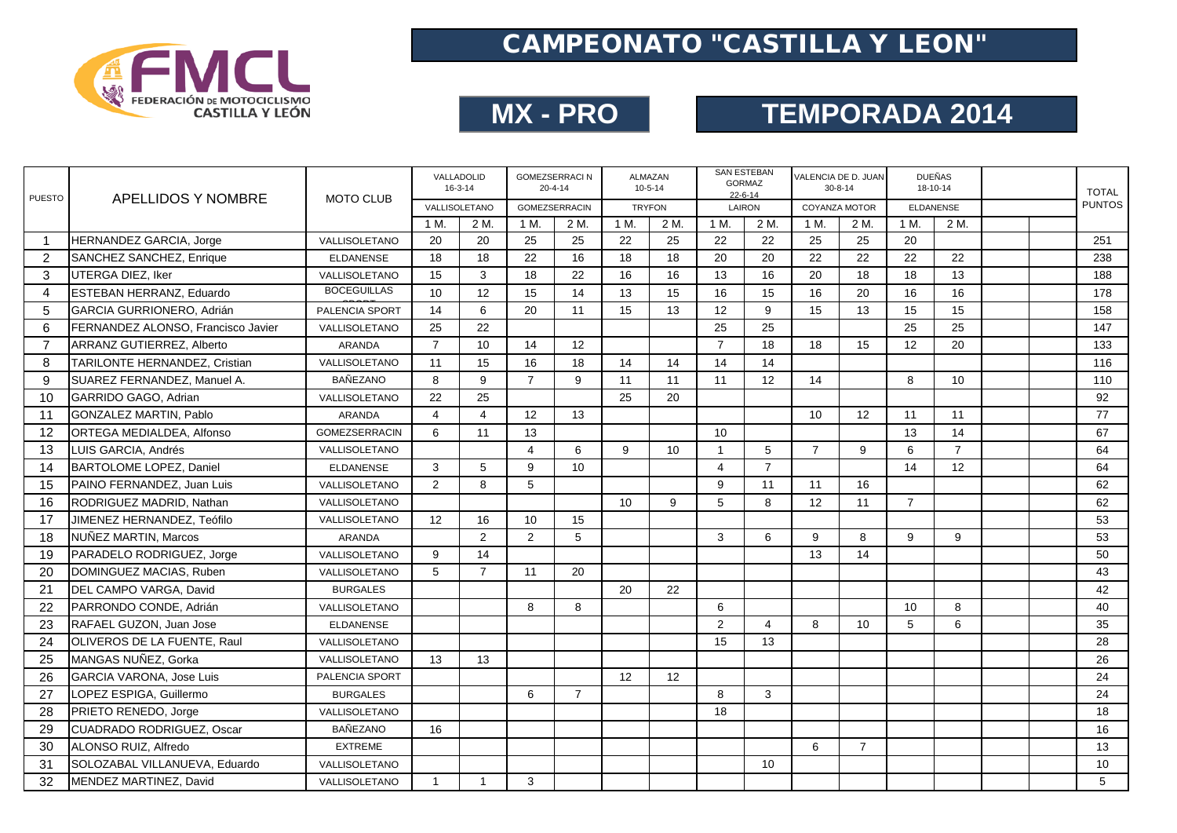

## **MX - PRO**

# **TEMPORADA 2014**

| <b>PUESTO</b>  | APELLIDOS Y NOMBRE                 | <b>MOTO CLUB</b>     |                | VALLADOLID<br>$16 - 3 - 14$ | <b>GOMEZSERRACI N</b><br>$20 - 4 - 14$ |                |               | <b>ALMAZAN</b><br>$10 - 5 - 14$ | <b>SAN ESTEBAN</b><br>$22 - 6 - 14$ | <b>GORMAZ</b>  | VALENCIA DE D. JUAN<br>$30 - 8 - 14$ |                | <b>DUEÑAS</b>    | 18-10-14       |  | <b>TOTAL</b>  |
|----------------|------------------------------------|----------------------|----------------|-----------------------------|----------------------------------------|----------------|---------------|---------------------------------|-------------------------------------|----------------|--------------------------------------|----------------|------------------|----------------|--|---------------|
|                |                                    |                      |                | VALLISOLETANO               | GOMEZSERRACIN                          |                | <b>TRYFON</b> |                                 |                                     | LAIRON         | COYANZA MOTOR                        |                | <b>ELDANENSE</b> |                |  | <b>PUNTOS</b> |
|                |                                    |                      | 1 M.           | 2 M.                        | 1 M.                                   | 2 M.           | 1 M.          | $2\overline{M}$ .               | 1 M.                                | 2 M.           | 1 M.                                 | 2 M.           | 1 M.             | 2 M.           |  |               |
| $\mathbf{1}$   | <b>HERNANDEZ GARCIA, Jorge</b>     | VALLISOLETANO        | 20             | 20                          | 25                                     | 25             | 22            | 25                              | 22                                  | 22             | 25                                   | 25             | 20               |                |  | 251           |
| 2              | SANCHEZ SANCHEZ, Enrique           | <b>ELDANENSE</b>     | 18             | 18                          | 22                                     | 16             | 18            | 18                              | 20                                  | 20             | 22                                   | 22             | 22               | 22             |  | 238           |
| 3              | UTERGA DIEZ. Iker                  | VALLISOLETANO        | 15             | 3                           | 18                                     | 22             | 16            | 16                              | 13                                  | 16             | 20                                   | 18             | 18               | 13             |  | 188           |
| $\overline{4}$ | <b>ESTEBAN HERRANZ, Eduardo</b>    | <b>BOCEGUILLAS</b>   | 10             | 12                          | 15                                     | 14             | 13            | 15                              | 16                                  | 15             | 16                                   | 20             | 16               | 16             |  | 178           |
| 5              | GARCIA GURRIONERO, Adrián          | PALENCIA SPORT       | 14             | 6                           | 20                                     | 11             | 15            | 13                              | 12                                  | 9              | 15                                   | 13             | 15               | 15             |  | 158           |
| 6              | FERNANDEZ ALONSO. Francisco Javier | VALLISOLETANO        | 25             | 22                          |                                        |                |               |                                 | 25                                  | 25             |                                      |                | 25               | 25             |  | 147           |
| $\overline{7}$ | ARRANZ GUTIERREZ, Alberto          | <b>ARANDA</b>        | $\overline{7}$ | 10                          | 14                                     | 12             |               |                                 | $\overline{7}$                      | 18             | 18                                   | 15             | 12               | 20             |  | 133           |
| 8              | TARILONTE HERNANDEZ, Cristian      | VALLISOLETANO        | 11             | 15                          | 16                                     | 18             | 14            | 14                              | 14                                  | 14             |                                      |                |                  |                |  | 116           |
| 9              | SUAREZ FERNANDEZ, Manuel A.        | <b>BAÑEZANO</b>      | 8              | 9                           | $\overline{7}$                         | 9              | 11            | 11                              | 11                                  | 12             | 14                                   |                | 8                | 10             |  | 110           |
| 10             | GARRIDO GAGO, Adrian               | VALLISOLETANO        | 22             | 25                          |                                        |                | 25            | 20                              |                                     |                |                                      |                |                  |                |  | 92            |
| 11             | <b>GONZALEZ MARTIN, Pablo</b>      | <b>ARANDA</b>        | $\overline{4}$ | $\overline{4}$              | 12                                     | 13             |               |                                 |                                     |                | 10                                   | 12             | 11               | 11             |  | 77            |
| 12             | ORTEGA MEDIALDEA, Alfonso          | <b>GOMEZSERRACIN</b> | 6              | 11                          | 13                                     |                |               |                                 | 10                                  |                |                                      |                | 13               | 14             |  | 67            |
| 13             | LUIS GARCIA, Andrés                | VALLISOLETANO        |                |                             | $\overline{4}$                         | 6              | 9             | 10                              | $\mathbf{1}$                        | 5              | $\overline{7}$                       | 9              | 6                | $\overline{7}$ |  | 64            |
| 14             | BARTOLOME LOPEZ, Daniel            | <b>ELDANENSE</b>     | 3              | 5                           | 9                                      | 10             |               |                                 | $\overline{4}$                      | $\overline{7}$ |                                      |                | 14               | 12             |  | 64            |
| 15             | PAINO FERNANDEZ, Juan Luis         | VALLISOLETANO        | 2              | 8                           | 5                                      |                |               |                                 | 9                                   | 11             | 11                                   | 16             |                  |                |  | 62            |
| 16             | RODRIGUEZ MADRID, Nathan           | VALLISOLETANO        |                |                             |                                        |                | 10            | 9                               | 5                                   | 8              | 12                                   | 11             | $\overline{7}$   |                |  | 62            |
| 17             | JIMENEZ HERNANDEZ, Teófilo         | VALLISOLETANO        | 12             | 16                          | 10                                     | 15             |               |                                 |                                     |                |                                      |                |                  |                |  | 53            |
| 18             | NUÑEZ MARTIN, Marcos               | ARANDA               |                | $\overline{2}$              | $\overline{2}$                         | 5              |               |                                 | 3                                   | 6              | 9                                    | 8              | 9                | 9              |  | 53            |
| 19             | PARADELO RODRIGUEZ, Jorge          | VALLISOLETANO        | 9              | 14                          |                                        |                |               |                                 |                                     |                | 13                                   | 14             |                  |                |  | 50            |
| 20             | DOMINGUEZ MACIAS, Ruben            | VALLISOLETANO        | 5              | $\overline{7}$              | 11                                     | 20             |               |                                 |                                     |                |                                      |                |                  |                |  | 43            |
| 21             | DEL CAMPO VARGA, David             | <b>BURGALES</b>      |                |                             |                                        |                | 20            | 22                              |                                     |                |                                      |                |                  |                |  | 42            |
| 22             | PARRONDO CONDE, Adrián             | VALLISOLETANO        |                |                             | 8                                      | 8              |               |                                 | 6                                   |                |                                      |                | 10               | 8              |  | 40            |
| 23             | RAFAEL GUZON, Juan Jose            | <b>ELDANENSE</b>     |                |                             |                                        |                |               |                                 | $\overline{2}$                      | $\overline{4}$ | 8                                    | 10             | 5                | 6              |  | 35            |
| 24             | <b>OLIVEROS DE LA FUENTE, Raul</b> | VALLISOLETANO        |                |                             |                                        |                |               |                                 | 15                                  | 13             |                                      |                |                  |                |  | 28            |
| 25             | MANGAS NUNEZ, Gorka                | VALLISOLETANO        | 13             | 13                          |                                        |                |               |                                 |                                     |                |                                      |                |                  |                |  | 26            |
| 26             | <b>GARCIA VARONA, Jose Luis</b>    | PALENCIA SPORT       |                |                             |                                        |                | 12            | 12                              |                                     |                |                                      |                |                  |                |  | 24            |
| 27             | LOPEZ ESPIGA, Guillermo            | <b>BURGALES</b>      |                |                             | 6                                      | $\overline{7}$ |               |                                 | 8                                   | 3              |                                      |                |                  |                |  | 24            |
| 28             | PRIETO RENEDO, Jorge               | VALLISOLETANO        |                |                             |                                        |                |               |                                 | 18                                  |                |                                      |                |                  |                |  | 18            |
| 29             | <b>CUADRADO RODRIGUEZ, Oscar</b>   | <b>BAÑEZANO</b>      | 16             |                             |                                        |                |               |                                 |                                     |                |                                      |                |                  |                |  | 16            |
| 30             | ALONSO RUIZ, Alfredo               | <b>EXTREME</b>       |                |                             |                                        |                |               |                                 |                                     |                | 6                                    | $\overline{7}$ |                  |                |  | 13            |
| 31             | SOLOZABAL VILLANUEVA, Eduardo      | VALLISOLETANO        |                |                             |                                        |                |               |                                 |                                     | 10             |                                      |                |                  |                |  | 10            |
| 32             | MENDEZ MARTINEZ, David             | VALLISOLETANO        | $\overline{1}$ | -1                          | 3                                      |                |               |                                 |                                     |                |                                      |                |                  |                |  | 5             |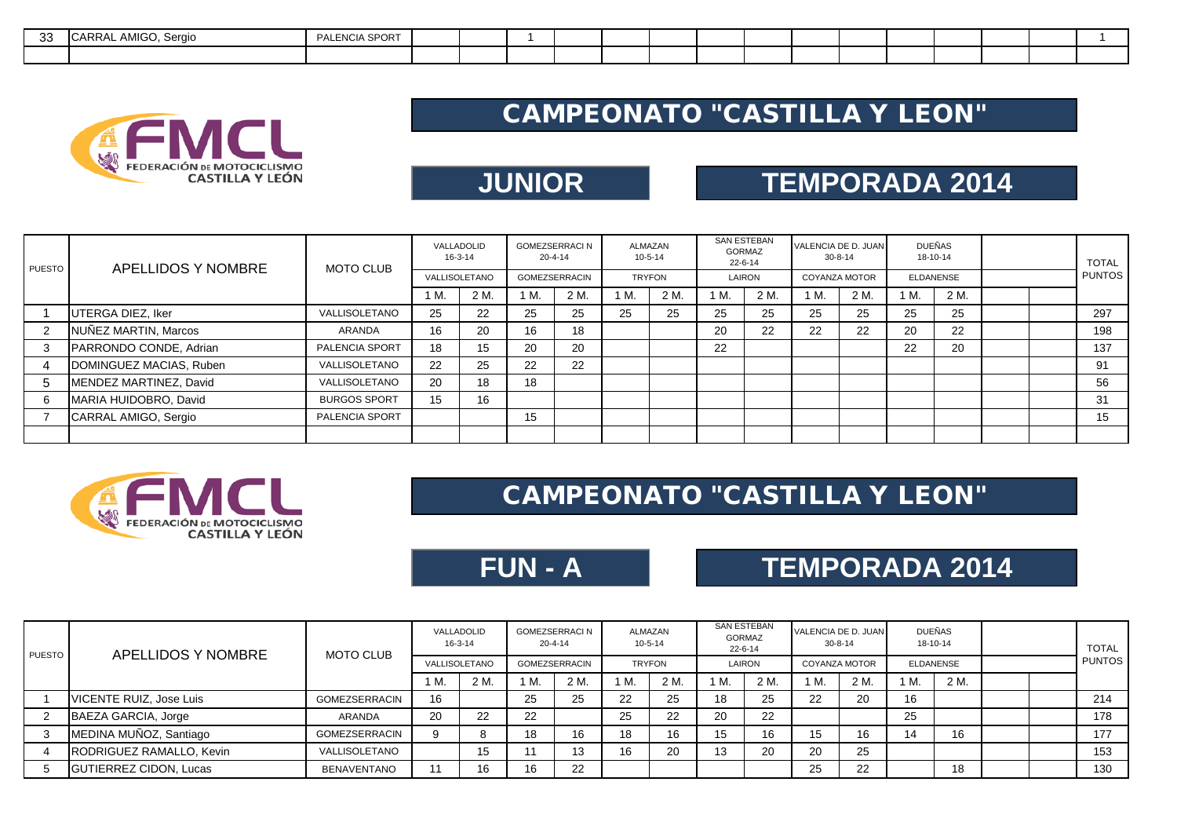| $\Omega$<br>აა | . AMIGO, Sergio<br><b>ICARRAL</b> | PALENCIA SPORT |  |  |  |  |  |  |  |  |
|----------------|-----------------------------------|----------------|--|--|--|--|--|--|--|--|
|                |                                   |                |  |  |  |  |  |  |  |  |



## **JUNIOR**

## **TEMPORADA 2014**

| PUESTO | APELLIDOS Y NOMBRE      | <b>MOTO CLUB</b>      | VALLADOLID<br>$16 - 3 - 14$ |      | <b>GOMEZSERRACI N</b> | $20 - 4 - 14$ |               | ALMAZAN<br>$10 - 5 - 14$ | <b>SAN ESTEBAN</b><br>GORMAZ<br>22-6-14 |      | $30 - 8 - 14$        | VALENCIA DE D. JUAN | DUEÑAS           | 18-10-14 |  | <b>TOTAL</b>  |
|--------|-------------------------|-----------------------|-----------------------------|------|-----------------------|---------------|---------------|--------------------------|-----------------------------------------|------|----------------------|---------------------|------------------|----------|--|---------------|
|        |                         |                       | VALLISOLETANO               |      | <b>GOMEZSERRACIN</b>  |               | <b>TRYFON</b> |                          | LAIRON                                  |      | <b>COYANZA MOTOR</b> |                     | <b>ELDANENSE</b> |          |  | <b>PUNTOS</b> |
|        |                         |                       | 1 M.                        | 2 M. | M.                    | 2 M.          | 1 M.          | 2 M.                     | 1 M.                                    | 2 M. | 1 M.                 | 2 M.                | 1 M.             | 2 M.     |  |               |
|        | UTERGA DIEZ, Iker       | VALLISOLETANO         | 25                          | 22   | 25                    | 25            | 25            | 25                       | 25                                      | 25   | 25                   | 25                  | 25               | 25       |  | 297           |
| 2      | NUÑEZ MARTIN, Marcos    | ARANDA                | 16                          | 20   | 16                    | 18            |               |                          | 20                                      | 22   | 22                   | 22                  | 20               | 22       |  | 198           |
| 3      | PARRONDO CONDE, Adrian  | <b>PALENCIA SPORT</b> | 18                          | 15   | 20                    | 20            |               |                          | 22                                      |      |                      |                     | 22               | 20       |  | 137           |
| 4      | DOMINGUEZ MACIAS, Ruben | VALLISOLETANO         | 22                          | 25   | 22                    | 22            |               |                          |                                         |      |                      |                     |                  |          |  | 91            |
| 5      | MENDEZ MARTINEZ, David  | VALLISOLETANO         | 20                          | 18   | 18                    |               |               |                          |                                         |      |                      |                     |                  |          |  | 56            |
| -6     | MARIA HUIDOBRO, David   | <b>BURGOS SPORT</b>   | 15                          | 16   |                       |               |               |                          |                                         |      |                      |                     |                  |          |  | 31            |
|        | CARRAL AMIGO, Sergio    | <b>PALENCIA SPORT</b> |                             |      | 15                    |               |               |                          |                                         |      |                      |                     |                  |          |  | 15            |
|        |                         |                       |                             |      |                       |               |               |                          |                                         |      |                      |                     |                  |          |  |               |



#### CAMPEONATO "CASTILLA Y LEON"

**FUN - A**

## **TEMPORADA 2014**

| <b>PUESTO</b> | APELLIDOS Y NOMBRE            | <b>MOTO CLUB</b>     | VALLADOLID    | 16-3-14 | 20-4-14              | <b>GOMEZSERRACI N</b> | ALMAZAN<br>$10 - 5 - 14$ |      | <b>SAN ESTEBAN</b><br>GORMAZ<br>$22 - 6 - 14$ |      | $30 - 8 - 14$        | VALENCIA DE D. JUAN | <b>DUEÑAS</b><br>18-10-14 |      |  | <b>TOTAL</b>  |
|---------------|-------------------------------|----------------------|---------------|---------|----------------------|-----------------------|--------------------------|------|-----------------------------------------------|------|----------------------|---------------------|---------------------------|------|--|---------------|
|               |                               |                      | VALLISOLETANO |         | <b>GOMEZSERRACIN</b> |                       | <b>TRYFON</b>            |      | LAIRON                                        |      | <b>COYANZA MOTOR</b> |                     | <b>ELDANENSE</b>          |      |  | <b>PUNTOS</b> |
|               |                               |                      | M.            | 2 M.    | 1 M.                 | 2 M.                  | 1 M.                     | 2 M. | 'М.                                           | 2 M. | 1 M.                 | 2 M.                | 1 M.                      | 2 M. |  |               |
|               | VICENTE RUIZ, Jose Luis       | <b>GOMEZSERRACIN</b> | 16            |         | 25                   | 25                    | 22                       | 25   | 18                                            | 25   | 22                   | -20                 | 16                        |      |  | 214           |
|               | BAEZA GARCIA, Jorge           | ARANDA               | 20            | 22      | 22                   |                       | 25                       | 22   | 20                                            | 22   |                      |                     | 25                        |      |  | 178           |
|               | MEDINA MUÑOZ, Santiago        | GOMEZSERRACIN        |               |         | 18                   | 16                    | 18                       | 16   | 15                                            | 16   | 15                   | 16                  | 14                        | 16   |  | 177           |
|               | RODRIGUEZ RAMALLO, Kevin      | VALLISOLETANO        |               | 15      | 11                   | 13                    | 16                       | 20   | 13                                            | 20   | 20                   | 25                  |                           |      |  | 153           |
|               | <b>GUTIERREZ CIDON, Lucas</b> | <b>BENAVENTANO</b>   |               |         | 16                   | 22                    |                          |      |                                               |      | 25                   | 22                  |                           | 18   |  | 130           |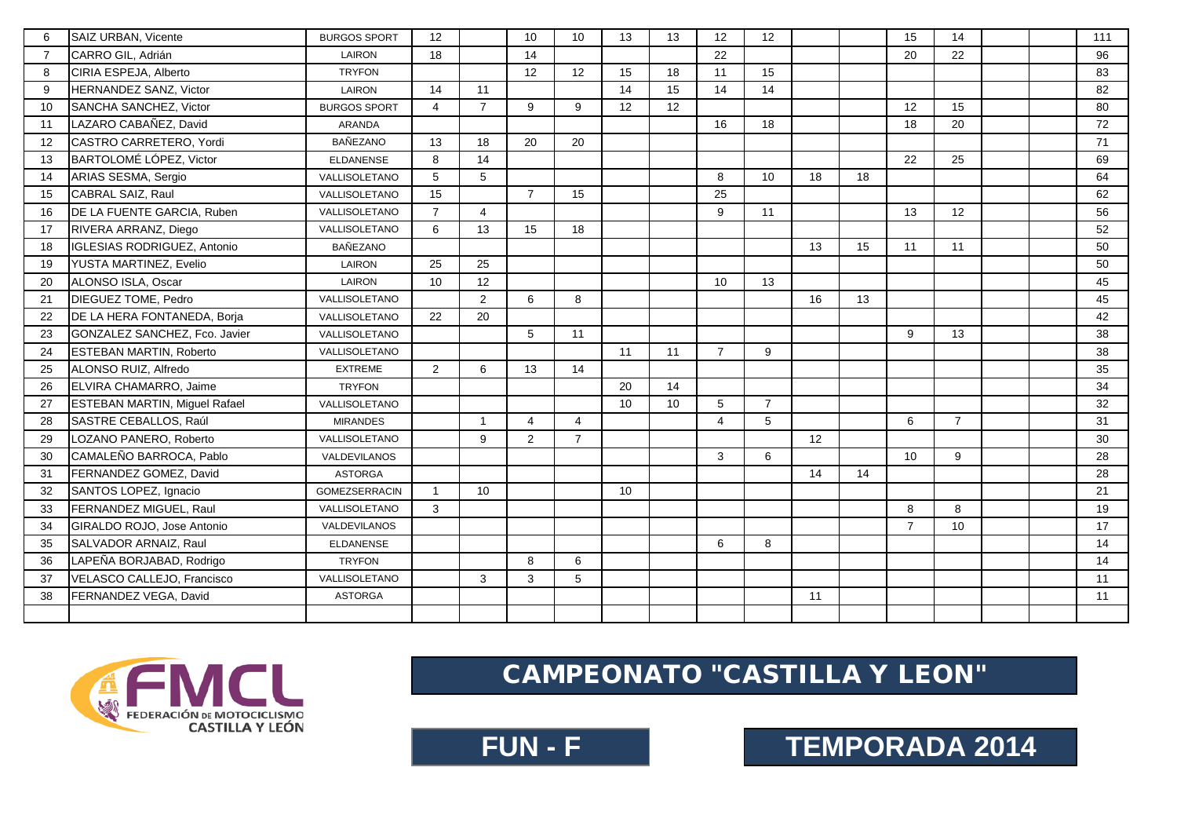| 6              | SAIZ URBAN, Vicente                  | <b>BURGOS SPORT</b>  | 12             |                | 10             | 10             | 13 | 13 | 12              | 12             |    |    | 15             | 14              |  | 111 |
|----------------|--------------------------------------|----------------------|----------------|----------------|----------------|----------------|----|----|-----------------|----------------|----|----|----------------|-----------------|--|-----|
| $\overline{7}$ | CARRO GIL, Adrián                    | LAIRON               | 18             |                | 14             |                |    |    | 22              |                |    |    | 20             | 22              |  | 96  |
| 8              | CIRIA ESPEJA, Alberto                | <b>TRYFON</b>        |                |                | 12             | 12             | 15 | 18 | 11              | 15             |    |    |                |                 |  | 83  |
| 9              | HERNANDEZ SANZ, Victor               | LAIRON               | 14             | 11             |                |                | 14 | 15 | 14              | 14             |    |    |                |                 |  | 82  |
| 10             | SANCHA SANCHEZ, Victor               | <b>BURGOS SPORT</b>  | 4              | $\overline{7}$ | 9              | 9              | 12 | 12 |                 |                |    |    | 12             | 15              |  | 80  |
| 11             | LAZARO CABAÑEZ, David                | ARANDA               |                |                |                |                |    |    | 16              | 18             |    |    | 18             | 20              |  | 72  |
| 12             | CASTRO CARRETERO, Yordi              | <b>BAÑEZANO</b>      | 13             | 18             | 20             | 20             |    |    |                 |                |    |    |                |                 |  | 71  |
| 13             | BARTOLOMÉ LÓPEZ, Victor              | <b>ELDANENSE</b>     | 8              | 14             |                |                |    |    |                 |                |    |    | 22             | 25              |  | 69  |
| 14             | ARIAS SESMA, Sergio                  | VALLISOLETANO        | 5              | 5              |                |                |    |    | 8               | 10             | 18 | 18 |                |                 |  | 64  |
| 15             | CABRAL SAIZ, Raul                    | VALLISOLETANO        | 15             |                | $\overline{7}$ | 15             |    |    | 25              |                |    |    |                |                 |  | 62  |
| 16             | DE LA FUENTE GARCIA, Ruben           | VALLISOLETANO        | $\overline{7}$ | 4              |                |                |    |    | 9               | 11             |    |    | 13             | 12              |  | 56  |
| 17             | RIVERA ARRANZ, Diego                 | VALLISOLETANO        | 6              | 13             | 15             | 18             |    |    |                 |                |    |    |                |                 |  | 52  |
| 18             | IGLESIAS RODRIGUEZ, Antonio          | <b>BAÑEZANO</b>      |                |                |                |                |    |    |                 |                | 13 | 15 | 11             | 11              |  | 50  |
| 19             | YUSTA MARTINEZ, Evelio               | LAIRON               | 25             | 25             |                |                |    |    |                 |                |    |    |                |                 |  | 50  |
| 20             | ALONSO ISLA, Oscar                   | LAIRON               | 10             | 12             |                |                |    |    | 10 <sup>°</sup> | 13             |    |    |                |                 |  | 45  |
| 21             | DIEGUEZ TOME, Pedro                  | VALLISOLETANO        |                | 2              | 6              | 8              |    |    |                 |                | 16 | 13 |                |                 |  | 45  |
| 22             | DE LA HERA FONTANEDA, Borja          | VALLISOLETANO        | 22             | 20             |                |                |    |    |                 |                |    |    |                |                 |  | 42  |
| 23             | GONZALEZ SANCHEZ, Fco. Javier        | VALLISOLETANO        |                |                | 5              | 11             |    |    |                 |                |    |    | 9              | 13              |  | 38  |
| 24             | <b>ESTEBAN MARTIN, Roberto</b>       | VALLISOLETANO        |                |                |                |                | 11 | 11 | $\overline{7}$  | 9              |    |    |                |                 |  | 38  |
| 25             | ALONSO RUIZ, Alfredo                 | <b>EXTREME</b>       | $\overline{2}$ | 6              | 13             | 14             |    |    |                 |                |    |    |                |                 |  | 35  |
| 26             | ELVIRA CHAMARRO, Jaime               | <b>TRYFON</b>        |                |                |                |                | 20 | 14 |                 |                |    |    |                |                 |  | 34  |
| 27             | <b>ESTEBAN MARTIN, Miguel Rafael</b> | VALLISOLETANO        |                |                |                |                | 10 | 10 | 5               | $\overline{7}$ |    |    |                |                 |  | 32  |
| 28             | SASTRE CEBALLOS, Raúl                | <b>MIRANDES</b>      |                | $\overline{1}$ | $\overline{4}$ | 4              |    |    | $\overline{4}$  | 5              |    |    | 6              | $\overline{7}$  |  | 31  |
| 29             | LOZANO PANERO, Roberto               | VALLISOLETANO        |                | 9              | 2              | $\overline{7}$ |    |    |                 |                | 12 |    |                |                 |  | 30  |
| 30             | CAMALEÑO BARROCA, Pablo              | VALDEVILANOS         |                |                |                |                |    |    | 3               | 6              |    |    | 10             | 9               |  | 28  |
| 31             | FERNANDEZ GOMEZ, David               | <b>ASTORGA</b>       |                |                |                |                |    |    |                 |                | 14 | 14 |                |                 |  | 28  |
| 32             | SANTOS LOPEZ, Ignacio                | <b>GOMEZSERRACIN</b> | $\overline{1}$ | 10             |                |                | 10 |    |                 |                |    |    |                |                 |  | 21  |
| 33             | FERNANDEZ MIGUEL, Raul               | VALLISOLETANO        | 3              |                |                |                |    |    |                 |                |    |    | 8              | 8               |  | 19  |
| 34             | GIRALDO ROJO, Jose Antonio           | VALDEVILANOS         |                |                |                |                |    |    |                 |                |    |    | $\overline{7}$ | 10 <sup>°</sup> |  | 17  |
| 35             | SALVADOR ARNAIZ, Raul                | <b>ELDANENSE</b>     |                |                |                |                |    |    | 6               | 8              |    |    |                |                 |  | 14  |
| 36             | LAPEÑA BORJABAD, Rodrigo             | <b>TRYFON</b>        |                |                | 8              | 6              |    |    |                 |                |    |    |                |                 |  | 14  |
| 37             | VELASCO CALLEJO, Francisco           | VALLISOLETANO        |                | 3              | 3              | 5              |    |    |                 |                |    |    |                |                 |  | 11  |
| 38             | FERNANDEZ VEGA, David                | <b>ASTORGA</b>       |                |                |                |                |    |    |                 |                | 11 |    |                |                 |  | 11  |
|                |                                      |                      |                |                |                |                |    |    |                 |                |    |    |                |                 |  |     |



**FUN - F CONTREMPORADA 2014**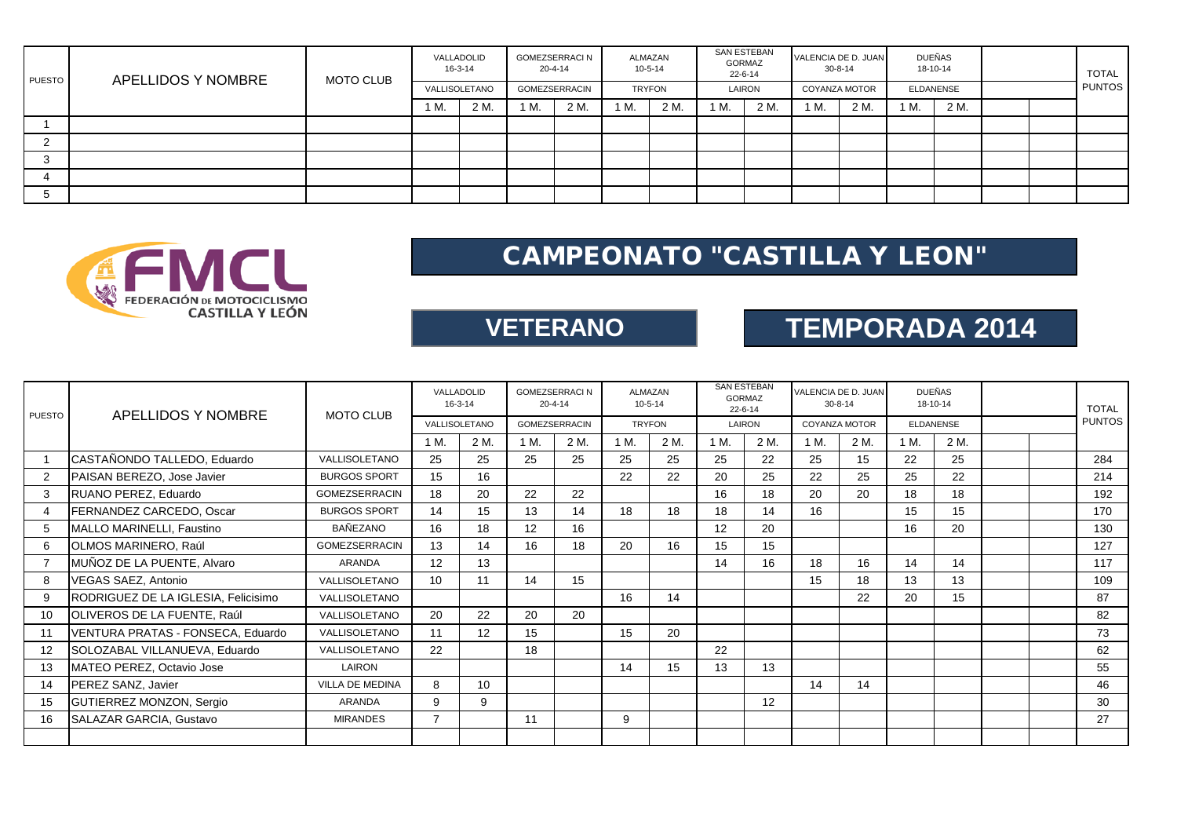| PUESTO | APELLIDOS Y NOMBRE | MOTO CLUB |      | VALLADOLID<br>$16 - 3 - 14$ |      | GOMEZSERRACI N<br>$20 - 4 - 14$ |               | ALMAZAN<br>10-5-14 | <b>GORMAZ</b> | SAN ESTEBAN<br>22-6-14 | VALENCIA DE D. JUAN | 30-8-14       |    | DUEÑAS<br>18-10-14 |  | <b>TOTAL</b>  |
|--------|--------------------|-----------|------|-----------------------------|------|---------------------------------|---------------|--------------------|---------------|------------------------|---------------------|---------------|----|--------------------|--|---------------|
|        |                    |           |      | VALLISOLETANO               |      | GOMEZSERRACIN                   | <b>TRYFON</b> |                    |               | LAIRON                 |                     | COYANZA MOTOR |    | <b>ELDANENSE</b>   |  | <b>PUNTOS</b> |
|        |                    |           | 1 M. | 2 M.                        | 1 M. | 2 M.                            | 1 M.          | 2 M.               | 1 M.          | 2 M.                   | 1 M.                | 2 M.          | М. | 2 M.               |  |               |
|        |                    |           |      |                             |      |                                 |               |                    |               |                        |                     |               |    |                    |  |               |
|        |                    |           |      |                             |      |                                 |               |                    |               |                        |                     |               |    |                    |  |               |
|        |                    |           |      |                             |      |                                 |               |                    |               |                        |                     |               |    |                    |  |               |
|        |                    |           |      |                             |      |                                 |               |                    |               |                        |                     |               |    |                    |  |               |
|        |                    |           |      |                             |      |                                 |               |                    |               |                        |                     |               |    |                    |  |               |



**VETERANO**

# **TEMPORADA 2014**

| <b>PUESTO</b>  | APELLIDOS Y NOMBRE                  | <b>MOTO CLUB</b>       | VALLADOLID<br>$16 - 3 - 14$ |                   | <b>GOMEZSERRACI N</b><br>$20 - 4 - 14$ |      |      | ALMAZAN<br>$10 - 5 - 14$ | <b>SAN ESTEBAN</b><br><b>GORMAZ</b><br>$22 - 6 - 14$ |      |                      | VALENCIA DE D. JUAN<br>$30 - 8 - 14$ |      | <b>DUEÑAS</b><br>18-10-14 | <b>TOTAL</b>  |
|----------------|-------------------------------------|------------------------|-----------------------------|-------------------|----------------------------------------|------|------|--------------------------|------------------------------------------------------|------|----------------------|--------------------------------------|------|---------------------------|---------------|
|                |                                     |                        | VALLISOLETANO               |                   | <b>GOMEZSERRACIN</b>                   |      |      | <b>TRYFON</b>            | LAIRON                                               |      | <b>COYANZA MOTOR</b> |                                      |      | <b>ELDANENSE</b>          | <b>PUNTOS</b> |
|                |                                     |                        | 1 M.                        | 2 M.              | 1 M.                                   | 2 M. | 1 M. | 2 M.                     | 1 M.                                                 | 2 M. | 1 M.                 | 2 M.                                 | 1 M. | 2 M.                      |               |
|                | CASTAÑONDO TALLEDO, Eduardo         | VALLISOLETANO          | 25                          | 25                | 25                                     | 25   | 25   | 25                       | 25                                                   | 22   | 25                   | 15                                   | 22   | 25                        | 284           |
| 2              | PAISAN BEREZO, Jose Javier          | <b>BURGOS SPORT</b>    | 15                          | 16                |                                        |      | 22   | 22                       | 20                                                   | 25   | 22                   | 25                                   | 25   | 22                        | 214           |
| 3              | RUANO PEREZ, Eduardo                | <b>GOMEZSERRACIN</b>   | 18                          | 20                | 22                                     | 22   |      |                          | 16                                                   | 18   | 20                   | 20                                   | 18   | 18                        | 192           |
| $\overline{4}$ | FERNANDEZ CARCEDO, Oscar            | <b>BURGOS SPORT</b>    | 14                          | 15                | 13                                     | 14   | 18   | 18                       | 18                                                   | 14   | 16                   |                                      | 15   | 15                        | 170           |
| 5              | MALLO MARINELLI, Faustino           | BAÑEZANO               | 16                          | 18                | 12                                     | 16   |      |                          | 12 <sup>2</sup>                                      | 20   |                      |                                      | 16   | 20                        | 130           |
| 6              | OLMOS MARINERO, Raúl                | <b>GOMEZSERRACIN</b>   | 13                          | 14                | 16                                     | 18   | 20   | 16                       | 15                                                   | 15   |                      |                                      |      |                           | 127           |
|                | MUÑOZ DE LA PUENTE, Alvaro          | ARANDA                 | 12                          | 13                |                                        |      |      |                          | 14                                                   | 16   | 18                   | 16                                   | 14   | 14                        | 117           |
| 8              | <b>VEGAS SAEZ, Antonio</b>          | VALLISOLETANO          | 10                          | 11                | 14                                     | 15   |      |                          |                                                      |      | 15                   | 18                                   | 13   | 13                        | 109           |
| 9              | RODRIGUEZ DE LA IGLESIA, Felicisimo | VALLISOLETANO          |                             |                   |                                        |      | 16   | 14                       |                                                      |      |                      | 22                                   | 20   | 15                        | 87            |
| 10             | OLIVEROS DE LA FUENTE, Raúl         | VALLISOLETANO          | 20                          | 22                | 20                                     | 20   |      |                          |                                                      |      |                      |                                      |      |                           | 82            |
| 11             | VENTURA PRATAS - FONSECA, Eduardo   | VALLISOLETANO          | 11                          | $12 \overline{ }$ | 15                                     |      | 15   | 20                       |                                                      |      |                      |                                      |      |                           | 73            |
| 12             | SOLOZABAL VILLANUEVA, Eduardo       | VALLISOLETANO          | 22                          |                   | 18                                     |      |      |                          | 22                                                   |      |                      |                                      |      |                           | 62            |
| 13             | MATEO PEREZ, Octavio Jose           | LAIRON                 |                             |                   |                                        |      | 14   | 15                       | 13                                                   | 13   |                      |                                      |      |                           | 55            |
| 14             | PEREZ SANZ, Javier                  | <b>VILLA DE MEDINA</b> | 8                           | 10                |                                        |      |      |                          |                                                      |      | 14                   | 14                                   |      |                           | 46            |
| 15             | GUTIERREZ MONZON, Sergio            | ARANDA                 | 9                           | 9                 |                                        |      |      |                          |                                                      | 12   |                      |                                      |      |                           | 30            |
| 16             | <b>SALAZAR GARCIA, Gustavo</b>      | <b>MIRANDES</b>        | 7                           |                   | 11                                     |      | 9    |                          |                                                      |      |                      |                                      |      |                           | 27            |
|                |                                     |                        |                             |                   |                                        |      |      |                          |                                                      |      |                      |                                      |      |                           |               |